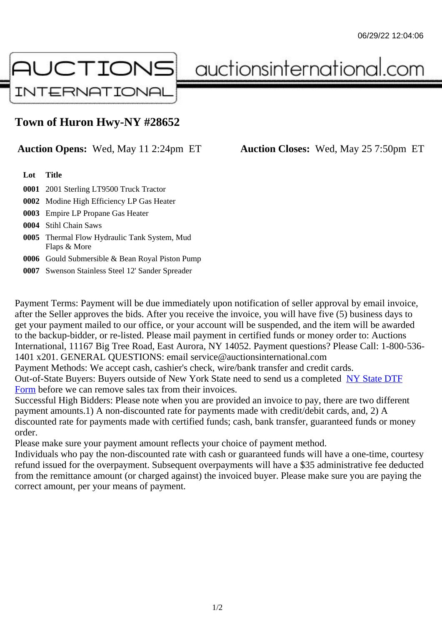## Town of Huron Hwy-NY #28652

## Auction Opens: Wed, May 11 2:24pm ET Auction Closes: Wed, May 25 7:50pm ET

Lot Title

0001 2001 Sterling LT9500 Truck Tractor

0002 Modine High Efficiency LP Gas Heater

0003 Empire LP Propane Gas Heater

0004 Stihl Chain Saws

0005 Thermal Flow Hydraulic Tank System, Mud Flaps & More

0006 Gould Submersible & Bean Royal Piston Pump

0007 Swenson Stainless Steel 12' Sander Spreader

Payment Terms: Payment will be due immediately upon notification of seller approval by email invoice, after the Seller approves the bids. After you receive the invoice, you will have five (5) business days to get your payment mailed to our office, or your account will be suspended, and the item will be awarded to the backup-bidder, or re-listed. Please mail payment in certified funds or money order to: Auctions International, 11167 Big Tree Road, East Aurora, NY 14052. Payment questions? Please Call: 1-800-53 1401 x201. GENERAL QUESTIONS: email service@auctionsinternational.com

Payment Methods: We accept cash, cashier's check, wire/bank transfer and credit cards.

Out-of-State Buyers: Buyers outside of New York State need to send us a com blestate DTF

Form before we can remove sales tax from their invoices.

Successful High Bidders: Please note when you are provided an invoice to pay, there are two different payment amounts.1) A non-discounted rate for payments made with credit/de[bit cards, and](https://www.auctionsinternational.com/auxiliary/downloads/DTF_Form/dtf_fill_in.pdf), 2) A [disco](https://www.auctionsinternational.com/auxiliary/downloads/DTF_Form/dtf_fill_in.pdf)unted rate for payments made with certified funds; cash, bank transfer, guaranteed funds or mone order.

Please make sure your payment amount reflects your choice of payment method.

Individuals who pay the non-discounted rate with cash or guaranteed funds will have a one-time, courte refund issued for the overpayment. Subsequent overpayments will have a \$35 administrative fee deduc from the remittance amount (or charged against) the invoiced buyer. Please make sure you are paying correct amount, per your means of payment.